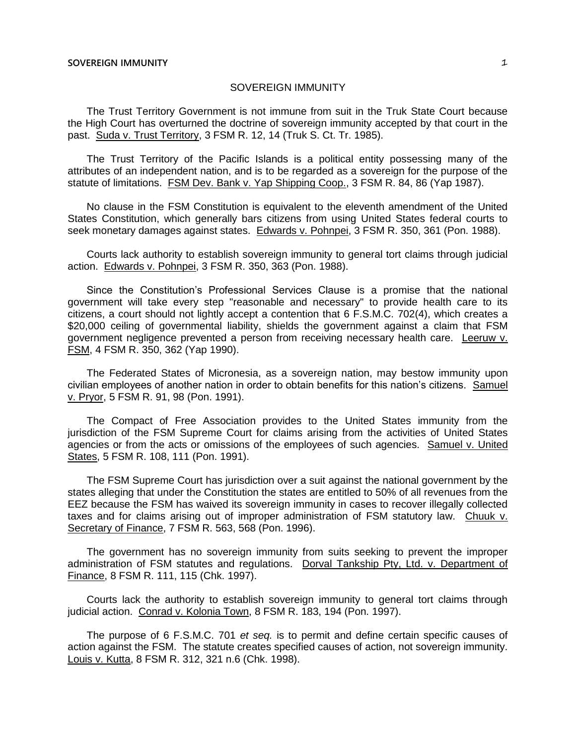The Trust Territory Government is not immune from suit in the Truk State Court because the High Court has overturned the doctrine of sovereign immunity accepted by that court in the past. Suda v. Trust Territory, 3 FSM R. 12, 14 (Truk S. Ct. Tr. 1985).

The Trust Territory of the Pacific Islands is a political entity possessing many of the attributes of an independent nation, and is to be regarded as a sovereign for the purpose of the statute of limitations. FSM Dev. Bank v. Yap Shipping Coop., 3 FSM R. 84, 86 (Yap 1987).

No clause in the FSM Constitution is equivalent to the eleventh amendment of the United States Constitution, which generally bars citizens from using United States federal courts to seek monetary damages against states. Edwards v. Pohnpei, 3 FSM R. 350, 361 (Pon. 1988).

Courts lack authority to establish sovereign immunity to general tort claims through judicial action. Edwards v. Pohnpei, 3 FSM R. 350, 363 (Pon. 1988).

Since the Constitution's Professional Services Clause is a promise that the national government will take every step "reasonable and necessary" to provide health care to its citizens, a court should not lightly accept a contention that 6 F.S.M.C. 702(4), which creates a \$20,000 ceiling of governmental liability, shields the government against a claim that FSM government negligence prevented a person from receiving necessary health care. Leeruw v. FSM, 4 FSM R. 350, 362 (Yap 1990).

The Federated States of Micronesia, as a sovereign nation, may bestow immunity upon civilian employees of another nation in order to obtain benefits for this nation's citizens. Samuel v. Pryor, 5 FSM R. 91, 98 (Pon. 1991).

The Compact of Free Association provides to the United States immunity from the jurisdiction of the FSM Supreme Court for claims arising from the activities of United States agencies or from the acts or omissions of the employees of such agencies. Samuel v. United States, 5 FSM R. 108, 111 (Pon. 1991).

The FSM Supreme Court has jurisdiction over a suit against the national government by the states alleging that under the Constitution the states are entitled to 50% of all revenues from the EEZ because the FSM has waived its sovereign immunity in cases to recover illegally collected taxes and for claims arising out of improper administration of FSM statutory law. Chuuk v. Secretary of Finance, 7 FSM R. 563, 568 (Pon. 1996).

The government has no sovereign immunity from suits seeking to prevent the improper administration of FSM statutes and regulations. Dorval Tankship Pty, Ltd. v. Department of Finance, 8 FSM R. 111, 115 (Chk. 1997).

Courts lack the authority to establish sovereign immunity to general tort claims through judicial action. Conrad v. Kolonia Town, 8 FSM R. 183, 194 (Pon. 1997).

The purpose of 6 F.S.M.C. 701 *et seq.* is to permit and define certain specific causes of action against the FSM. The statute creates specified causes of action, not sovereign immunity. Louis v. Kutta, 8 FSM R. 312, 321 n.6 (Chk. 1998).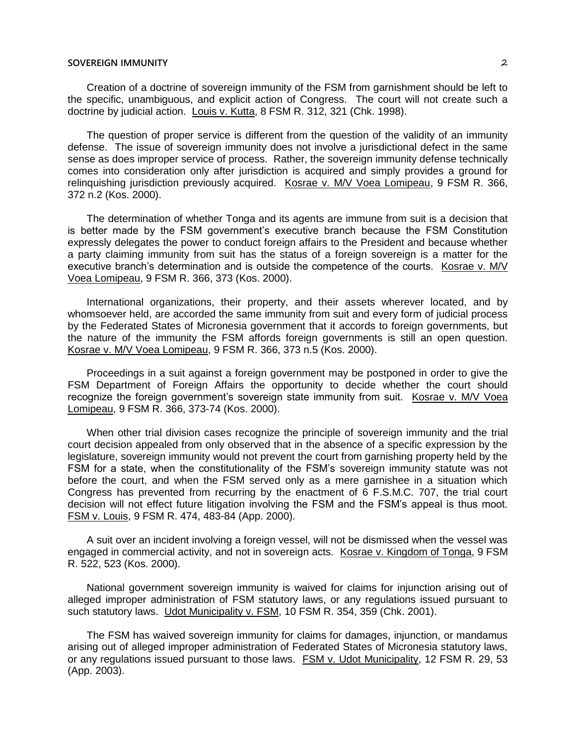Creation of a doctrine of sovereign immunity of the FSM from garnishment should be left to the specific, unambiguous, and explicit action of Congress. The court will not create such a doctrine by judicial action. Louis v. Kutta, 8 FSM R. 312, 321 (Chk. 1998).

The question of proper service is different from the question of the validity of an immunity defense. The issue of sovereign immunity does not involve a jurisdictional defect in the same sense as does improper service of process. Rather, the sovereign immunity defense technically comes into consideration only after jurisdiction is acquired and simply provides a ground for relinquishing jurisdiction previously acquired. Kosrae v. M/V Voea Lomipeau, 9 FSM R. 366, 372 n.2 (Kos. 2000).

The determination of whether Tonga and its agents are immune from suit is a decision that is better made by the FSM government's executive branch because the FSM Constitution expressly delegates the power to conduct foreign affairs to the President and because whether a party claiming immunity from suit has the status of a foreign sovereign is a matter for the executive branch's determination and is outside the competence of the courts. Kosrae v. M/V Voea Lomipeau, 9 FSM R. 366, 373 (Kos. 2000).

International organizations, their property, and their assets wherever located, and by whomsoever held, are accorded the same immunity from suit and every form of judicial process by the Federated States of Micronesia government that it accords to foreign governments, but the nature of the immunity the FSM affords foreign governments is still an open question. Kosrae v. M/V Voea Lomipeau, 9 FSM R. 366, 373 n.5 (Kos. 2000).

Proceedings in a suit against a foreign government may be postponed in order to give the FSM Department of Foreign Affairs the opportunity to decide whether the court should recognize the foreign government's sovereign state immunity from suit. Kosrae v. M/V Voea Lomipeau, 9 FSM R. 366, 373-74 (Kos. 2000).

When other trial division cases recognize the principle of sovereign immunity and the trial court decision appealed from only observed that in the absence of a specific expression by the legislature, sovereign immunity would not prevent the court from garnishing property held by the FSM for a state, when the constitutionality of the FSM's sovereign immunity statute was not before the court, and when the FSM served only as a mere garnishee in a situation which Congress has prevented from recurring by the enactment of 6 F.S.M.C. 707, the trial court decision will not effect future litigation involving the FSM and the FSM's appeal is thus moot. FSM v. Louis, 9 FSM R. 474, 483-84 (App. 2000).

A suit over an incident involving a foreign vessel, will not be dismissed when the vessel was engaged in commercial activity, and not in sovereign acts. Kosrae v. Kingdom of Tonga, 9 FSM R. 522, 523 (Kos. 2000).

National government sovereign immunity is waived for claims for injunction arising out of alleged improper administration of FSM statutory laws, or any regulations issued pursuant to such statutory laws. Udot Municipality v. FSM, 10 FSM R. 354, 359 (Chk. 2001).

The FSM has waived sovereign immunity for claims for damages, injunction, or mandamus arising out of alleged improper administration of Federated States of Micronesia statutory laws, or any regulations issued pursuant to those laws. FSM v. Udot Municipality, 12 FSM R. 29, 53 (App. 2003).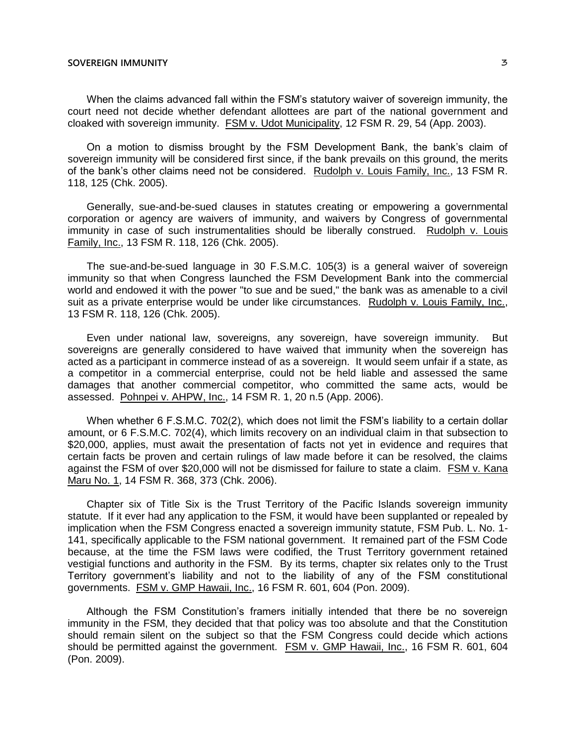When the claims advanced fall within the FSM's statutory waiver of sovereign immunity, the court need not decide whether defendant allottees are part of the national government and cloaked with sovereign immunity. FSM v. Udot Municipality, 12 FSM R. 29, 54 (App. 2003).

On a motion to dismiss brought by the FSM Development Bank, the bank's claim of sovereign immunity will be considered first since, if the bank prevails on this ground, the merits of the bank's other claims need not be considered. Rudolph v. Louis Family, Inc., 13 FSM R. 118, 125 (Chk. 2005).

Generally, sue-and-be-sued clauses in statutes creating or empowering a governmental corporation or agency are waivers of immunity, and waivers by Congress of governmental immunity in case of such instrumentalities should be liberally construed. Rudolph v. Louis Family, Inc., 13 FSM R. 118, 126 (Chk. 2005).

The sue-and-be-sued language in 30 F.S.M.C. 105(3) is a general waiver of sovereign immunity so that when Congress launched the FSM Development Bank into the commercial world and endowed it with the power "to sue and be sued," the bank was as amenable to a civil suit as a private enterprise would be under like circumstances. Rudolph v. Louis Family, Inc., 13 FSM R. 118, 126 (Chk. 2005).

Even under national law, sovereigns, any sovereign, have sovereign immunity. But sovereigns are generally considered to have waived that immunity when the sovereign has acted as a participant in commerce instead of as a sovereign. It would seem unfair if a state, as a competitor in a commercial enterprise, could not be held liable and assessed the same damages that another commercial competitor, who committed the same acts, would be assessed. Pohnpei v. AHPW, Inc., 14 FSM R. 1, 20 n.5 (App. 2006).

When whether 6 F.S.M.C. 702(2), which does not limit the FSM's liability to a certain dollar amount, or 6 F.S.M.C. 702(4), which limits recovery on an individual claim in that subsection to \$20,000, applies, must await the presentation of facts not yet in evidence and requires that certain facts be proven and certain rulings of law made before it can be resolved, the claims against the FSM of over \$20,000 will not be dismissed for failure to state a claim. FSM v. Kana Maru No. 1, 14 FSM R. 368, 373 (Chk. 2006).

Chapter six of Title Six is the Trust Territory of the Pacific Islands sovereign immunity statute. If it ever had any application to the FSM, it would have been supplanted or repealed by implication when the FSM Congress enacted a sovereign immunity statute, FSM Pub. L. No. 1- 141, specifically applicable to the FSM national government. It remained part of the FSM Code because, at the time the FSM laws were codified, the Trust Territory government retained vestigial functions and authority in the FSM. By its terms, chapter six relates only to the Trust Territory government's liability and not to the liability of any of the FSM constitutional governments. FSM v. GMP Hawaii, Inc., 16 FSM R. 601, 604 (Pon. 2009).

Although the FSM Constitution's framers initially intended that there be no sovereign immunity in the FSM, they decided that that policy was too absolute and that the Constitution should remain silent on the subject so that the FSM Congress could decide which actions should be permitted against the government. FSM v. GMP Hawaii, Inc., 16 FSM R. 601, 604 (Pon. 2009).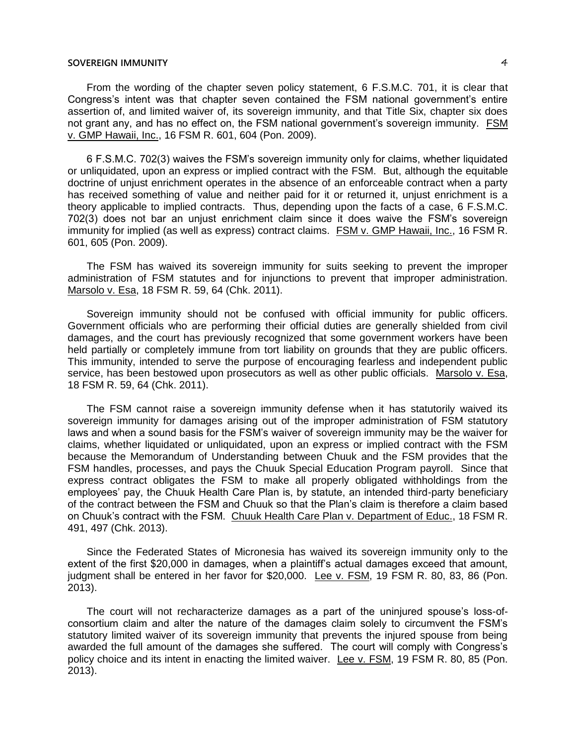From the wording of the chapter seven policy statement, 6 F.S.M.C. 701, it is clear that Congress's intent was that chapter seven contained the FSM national government's entire assertion of, and limited waiver of, its sovereign immunity, and that Title Six, chapter six does not grant any, and has no effect on, the FSM national government's sovereign immunity. FSM v. GMP Hawaii, Inc., 16 FSM R. 601, 604 (Pon. 2009).

6 F.S.M.C. 702(3) waives the FSM's sovereign immunity only for claims, whether liquidated or unliquidated, upon an express or implied contract with the FSM. But, although the equitable doctrine of unjust enrichment operates in the absence of an enforceable contract when a party has received something of value and neither paid for it or returned it, unjust enrichment is a theory applicable to implied contracts. Thus, depending upon the facts of a case, 6 F.S.M.C. 702(3) does not bar an unjust enrichment claim since it does waive the FSM's sovereign immunity for implied (as well as express) contract claims. FSM v. GMP Hawaii, Inc., 16 FSM R. 601, 605 (Pon. 2009).

The FSM has waived its sovereign immunity for suits seeking to prevent the improper administration of FSM statutes and for injunctions to prevent that improper administration. Marsolo v. Esa, 18 FSM R. 59, 64 (Chk. 2011).

Sovereign immunity should not be confused with official immunity for public officers. Government officials who are performing their official duties are generally shielded from civil damages, and the court has previously recognized that some government workers have been held partially or completely immune from tort liability on grounds that they are public officers. This immunity, intended to serve the purpose of encouraging fearless and independent public service, has been bestowed upon prosecutors as well as other public officials. Marsolo v. Esa, 18 FSM R. 59, 64 (Chk. 2011).

The FSM cannot raise a sovereign immunity defense when it has statutorily waived its sovereign immunity for damages arising out of the improper administration of FSM statutory laws and when a sound basis for the FSM's waiver of sovereign immunity may be the waiver for claims, whether liquidated or unliquidated, upon an express or implied contract with the FSM because the Memorandum of Understanding between Chuuk and the FSM provides that the FSM handles, processes, and pays the Chuuk Special Education Program payroll. Since that express contract obligates the FSM to make all properly obligated withholdings from the employees' pay, the Chuuk Health Care Plan is, by statute, an intended third-party beneficiary of the contract between the FSM and Chuuk so that the Plan's claim is therefore a claim based on Chuuk's contract with the FSM. Chuuk Health Care Plan v. Department of Educ., 18 FSM R. 491, 497 (Chk. 2013).

Since the Federated States of Micronesia has waived its sovereign immunity only to the extent of the first \$20,000 in damages, when a plaintiff's actual damages exceed that amount, judgment shall be entered in her favor for \$20,000. Lee v. FSM, 19 FSM R. 80, 83, 86 (Pon. 2013).

The court will not recharacterize damages as a part of the uninjured spouse's loss-ofconsortium claim and alter the nature of the damages claim solely to circumvent the FSM's statutory limited waiver of its sovereign immunity that prevents the injured spouse from being awarded the full amount of the damages she suffered. The court will comply with Congress's policy choice and its intent in enacting the limited waiver. Lee v. FSM, 19 FSM R. 80, 85 (Pon. 2013).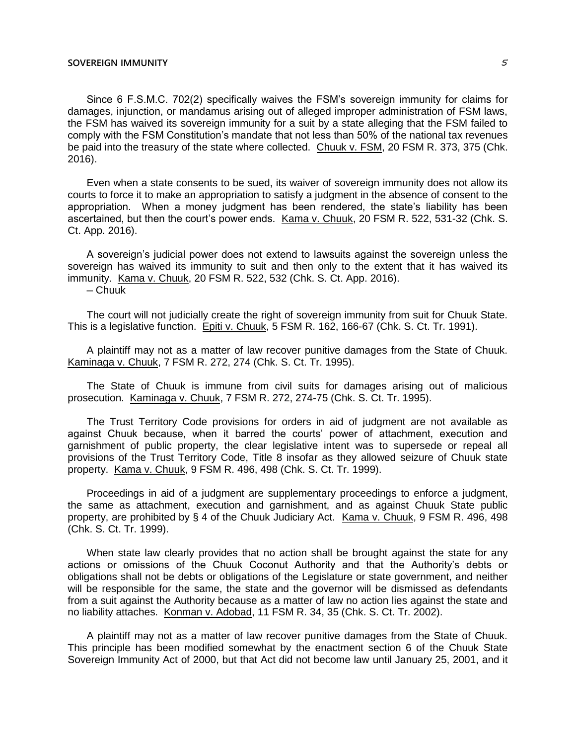Since 6 F.S.M.C. 702(2) specifically waives the FSM's sovereign immunity for claims for damages, injunction, or mandamus arising out of alleged improper administration of FSM laws, the FSM has waived its sovereign immunity for a suit by a state alleging that the FSM failed to comply with the FSM Constitution's mandate that not less than 50% of the national tax revenues be paid into the treasury of the state where collected. Chuuk v. FSM, 20 FSM R. 373, 375 (Chk. 2016).

Even when a state consents to be sued, its waiver of sovereign immunity does not allow its courts to force it to make an appropriation to satisfy a judgment in the absence of consent to the appropriation. When a money judgment has been rendered, the state's liability has been ascertained, but then the court's power ends. Kama v. Chuuk, 20 FSM R. 522, 531-32 (Chk. S. Ct. App. 2016).

A sovereign's judicial power does not extend to lawsuits against the sovereign unless the sovereign has waived its immunity to suit and then only to the extent that it has waived its immunity. Kama v. Chuuk, 20 FSM R. 522, 532 (Chk. S. Ct. App. 2016).

─ Chuuk

The court will not judicially create the right of sovereign immunity from suit for Chuuk State. This is a legislative function. Epiti v. Chuuk, 5 FSM R. 162, 166-67 (Chk. S. Ct. Tr. 1991).

A plaintiff may not as a matter of law recover punitive damages from the State of Chuuk. Kaminaga v. Chuuk, 7 FSM R. 272, 274 (Chk. S. Ct. Tr. 1995).

The State of Chuuk is immune from civil suits for damages arising out of malicious prosecution. Kaminaga v. Chuuk, 7 FSM R. 272, 274-75 (Chk. S. Ct. Tr. 1995).

The Trust Territory Code provisions for orders in aid of judgment are not available as against Chuuk because, when it barred the courts' power of attachment, execution and garnishment of public property, the clear legislative intent was to supersede or repeal all provisions of the Trust Territory Code, Title 8 insofar as they allowed seizure of Chuuk state property. Kama v. Chuuk, 9 FSM R. 496, 498 (Chk. S. Ct. Tr. 1999).

Proceedings in aid of a judgment are supplementary proceedings to enforce a judgment, the same as attachment, execution and garnishment, and as against Chuuk State public property, are prohibited by § 4 of the Chuuk Judiciary Act. Kama v. Chuuk, 9 FSM R. 496, 498 (Chk. S. Ct. Tr. 1999).

When state law clearly provides that no action shall be brought against the state for any actions or omissions of the Chuuk Coconut Authority and that the Authority's debts or obligations shall not be debts or obligations of the Legislature or state government, and neither will be responsible for the same, the state and the governor will be dismissed as defendants from a suit against the Authority because as a matter of law no action lies against the state and no liability attaches. Konman v. Adobad, 11 FSM R. 34, 35 (Chk. S. Ct. Tr. 2002).

A plaintiff may not as a matter of law recover punitive damages from the State of Chuuk. This principle has been modified somewhat by the enactment section 6 of the Chuuk State Sovereign Immunity Act of 2000, but that Act did not become law until January 25, 2001, and it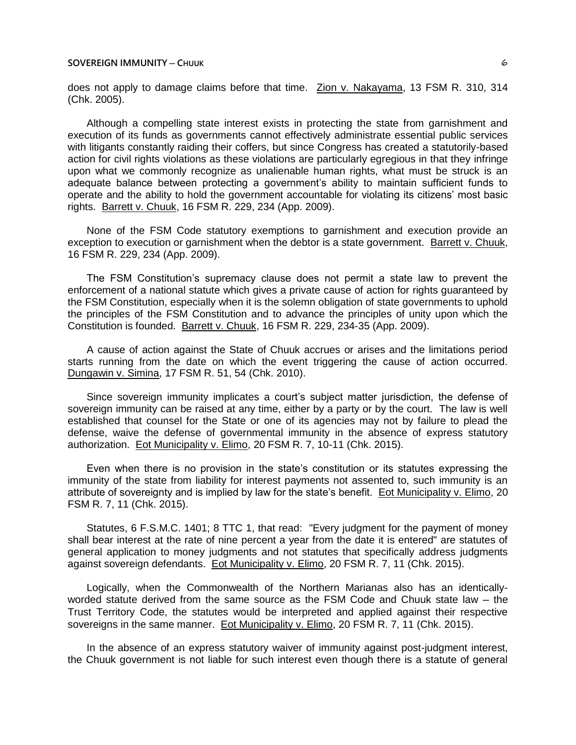does not apply to damage claims before that time. Zion v. Nakayama, 13 FSM R. 310, 314 (Chk. 2005).

Although a compelling state interest exists in protecting the state from garnishment and execution of its funds as governments cannot effectively administrate essential public services with litigants constantly raiding their coffers, but since Congress has created a statutorily-based action for civil rights violations as these violations are particularly egregious in that they infringe upon what we commonly recognize as unalienable human rights, what must be struck is an adequate balance between protecting a government's ability to maintain sufficient funds to operate and the ability to hold the government accountable for violating its citizens' most basic rights. Barrett v. Chuuk, 16 FSM R. 229, 234 (App. 2009).

None of the FSM Code statutory exemptions to garnishment and execution provide an exception to execution or garnishment when the debtor is a state government. Barrett v. Chuuk, 16 FSM R. 229, 234 (App. 2009).

The FSM Constitution's supremacy clause does not permit a state law to prevent the enforcement of a national statute which gives a private cause of action for rights guaranteed by the FSM Constitution, especially when it is the solemn obligation of state governments to uphold the principles of the FSM Constitution and to advance the principles of unity upon which the Constitution is founded. Barrett v. Chuuk, 16 FSM R. 229, 234-35 (App. 2009).

A cause of action against the State of Chuuk accrues or arises and the limitations period starts running from the date on which the event triggering the cause of action occurred. Dungawin v. Simina, 17 FSM R. 51, 54 (Chk. 2010).

Since sovereign immunity implicates a court's subject matter jurisdiction, the defense of sovereign immunity can be raised at any time, either by a party or by the court. The law is well established that counsel for the State or one of its agencies may not by failure to plead the defense, waive the defense of governmental immunity in the absence of express statutory authorization. Eot Municipality v. Elimo, 20 FSM R. 7, 10-11 (Chk. 2015).

Even when there is no provision in the state's constitution or its statutes expressing the immunity of the state from liability for interest payments not assented to, such immunity is an attribute of sovereignty and is implied by law for the state's benefit. Eot Municipality v. Elimo, 20 FSM R. 7, 11 (Chk. 2015).

Statutes, 6 F.S.M.C. 1401; 8 TTC 1, that read: "Every judgment for the payment of money shall bear interest at the rate of nine percent a year from the date it is entered" are statutes of general application to money judgments and not statutes that specifically address judgments against sovereign defendants. Eot Municipality v. Elimo, 20 FSM R. 7, 11 (Chk. 2015).

Logically, when the Commonwealth of the Northern Marianas also has an identicallyworded statute derived from the same source as the FSM Code and Chuuk state law  $-$  the Trust Territory Code, the statutes would be interpreted and applied against their respective sovereigns in the same manner. Eot Municipality v. Elimo, 20 FSM R. 7, 11 (Chk. 2015).

In the absence of an express statutory waiver of immunity against post-judgment interest, the Chuuk government is not liable for such interest even though there is a statute of general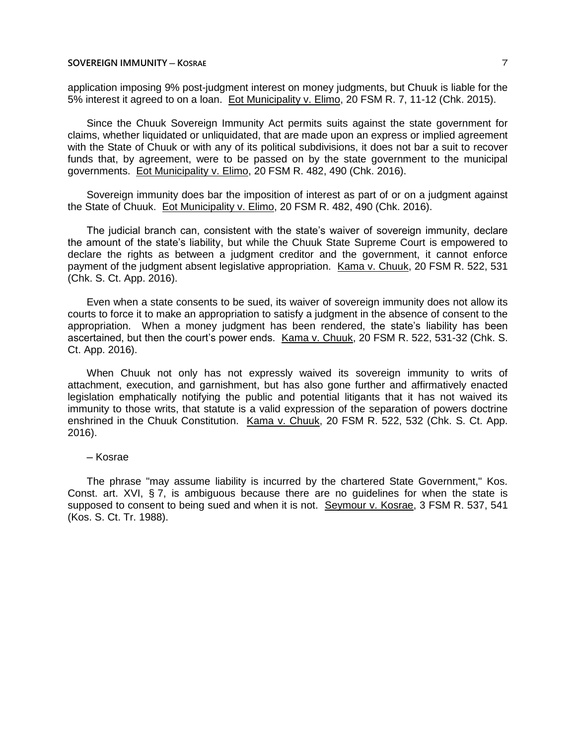### **SOVEREIGN IMMUNITY ─ KOSRAE** 7

application imposing 9% post-judgment interest on money judgments, but Chuuk is liable for the 5% interest it agreed to on a loan. Eot Municipality v. Elimo, 20 FSM R. 7, 11-12 (Chk. 2015).

Since the Chuuk Sovereign Immunity Act permits suits against the state government for claims, whether liquidated or unliquidated, that are made upon an express or implied agreement with the State of Chuuk or with any of its political subdivisions, it does not bar a suit to recover funds that, by agreement, were to be passed on by the state government to the municipal governments. Eot Municipality v. Elimo, 20 FSM R. 482, 490 (Chk. 2016).

Sovereign immunity does bar the imposition of interest as part of or on a judgment against the State of Chuuk. Eot Municipality v. Elimo, 20 FSM R. 482, 490 (Chk. 2016).

The judicial branch can, consistent with the state's waiver of sovereign immunity, declare the amount of the state's liability, but while the Chuuk State Supreme Court is empowered to declare the rights as between a judgment creditor and the government, it cannot enforce payment of the judgment absent legislative appropriation. Kama v. Chuuk, 20 FSM R. 522, 531 (Chk. S. Ct. App. 2016).

Even when a state consents to be sued, its waiver of sovereign immunity does not allow its courts to force it to make an appropriation to satisfy a judgment in the absence of consent to the appropriation. When a money judgment has been rendered, the state's liability has been ascertained, but then the court's power ends. Kama v. Chuuk, 20 FSM R. 522, 531-32 (Chk. S. Ct. App. 2016).

When Chuuk not only has not expressly waived its sovereign immunity to writs of attachment, execution, and garnishment, but has also gone further and affirmatively enacted legislation emphatically notifying the public and potential litigants that it has not waived its immunity to those writs, that statute is a valid expression of the separation of powers doctrine enshrined in the Chuuk Constitution. Kama v. Chuuk, 20 FSM R. 522, 532 (Chk. S. Ct. App. 2016).

#### ─ Kosrae

The phrase "may assume liability is incurred by the chartered State Government," Kos. Const. art. XVI, § 7, is ambiguous because there are no guidelines for when the state is supposed to consent to being sued and when it is not. Seymour v. Kosrae, 3 FSM R. 537, 541 (Kos. S. Ct. Tr. 1988).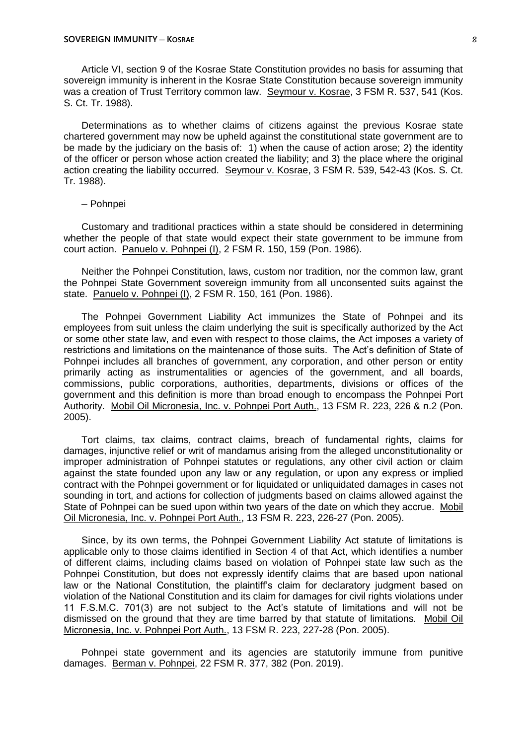Article VI, section 9 of the Kosrae State Constitution provides no basis for assuming that sovereign immunity is inherent in the Kosrae State Constitution because sovereign immunity was a creation of Trust Territory common law. Seymour v. Kosrae, 3 FSM R. 537, 541 (Kos. S. Ct. Tr. 1988).

Determinations as to whether claims of citizens against the previous Kosrae state chartered government may now be upheld against the constitutional state government are to be made by the judiciary on the basis of: 1) when the cause of action arose; 2) the identity of the officer or person whose action created the liability; and 3) the place where the original action creating the liability occurred. Seymour v. Kosrae, 3 FSM R. 539, 542-43 (Kos. S. Ct. Tr. 1988).

─ Pohnpei

Customary and traditional practices within a state should be considered in determining whether the people of that state would expect their state government to be immune from court action. Panuelo v. Pohnpei (I), 2 FSM R. 150, 159 (Pon. 1986).

Neither the Pohnpei Constitution, laws, custom nor tradition, nor the common law, grant the Pohnpei State Government sovereign immunity from all unconsented suits against the state. Panuelo v. Pohnpei (I), 2 FSM R. 150, 161 (Pon. 1986).

The Pohnpei Government Liability Act immunizes the State of Pohnpei and its employees from suit unless the claim underlying the suit is specifically authorized by the Act or some other state law, and even with respect to those claims, the Act imposes a variety of restrictions and limitations on the maintenance of those suits. The Act's definition of State of Pohnpei includes all branches of government, any corporation, and other person or entity primarily acting as instrumentalities or agencies of the government, and all boards, commissions, public corporations, authorities, departments, divisions or offices of the government and this definition is more than broad enough to encompass the Pohnpei Port Authority. Mobil Oil Micronesia, Inc. v. Pohnpei Port Auth., 13 FSM R. 223, 226 & n.2 (Pon. 2005).

Tort claims, tax claims, contract claims, breach of fundamental rights, claims for damages, injunctive relief or writ of mandamus arising from the alleged unconstitutionality or improper administration of Pohnpei statutes or regulations, any other civil action or claim against the state founded upon any law or any regulation, or upon any express or implied contract with the Pohnpei government or for liquidated or unliquidated damages in cases not sounding in tort, and actions for collection of judgments based on claims allowed against the State of Pohnpei can be sued upon within two years of the date on which they accrue. Mobil Oil Micronesia, Inc. v. Pohnpei Port Auth., 13 FSM R. 223, 226-27 (Pon. 2005).

Since, by its own terms, the Pohnpei Government Liability Act statute of limitations is applicable only to those claims identified in Section 4 of that Act, which identifies a number of different claims, including claims based on violation of Pohnpei state law such as the Pohnpei Constitution, but does not expressly identify claims that are based upon national law or the National Constitution, the plaintiff's claim for declaratory judgment based on violation of the National Constitution and its claim for damages for civil rights violations under 11 F.S.M.C. 701(3) are not subject to the Act's statute of limitations and will not be dismissed on the ground that they are time barred by that statute of limitations. Mobil Oil Micronesia, Inc. v. Pohnpei Port Auth., 13 FSM R. 223, 227-28 (Pon. 2005).

Pohnpei state government and its agencies are statutorily immune from punitive damages. Berman v. Pohnpei, 22 FSM R. 377, 382 (Pon. 2019).